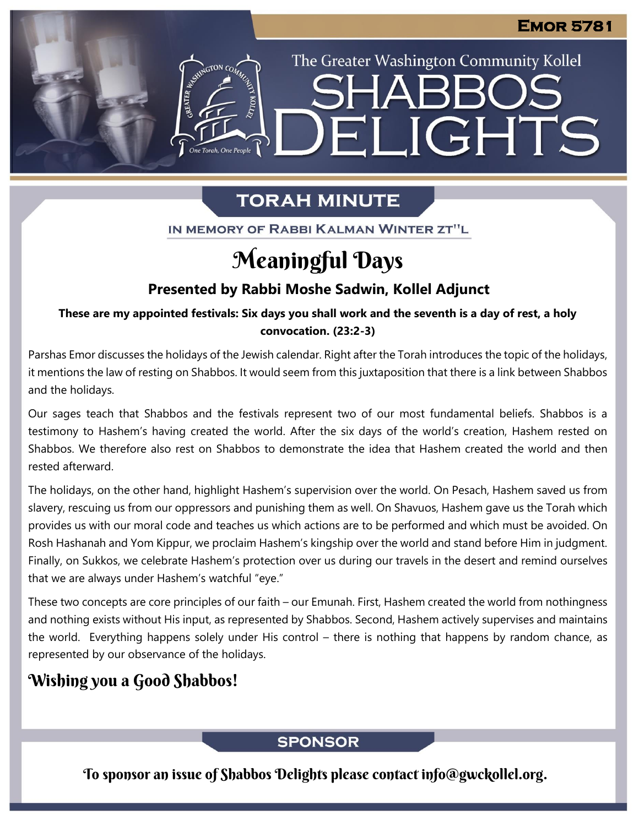The Greater Washington Community Kollel

ELIGHTS

# **TORAH MINUTE**

IN MEMORY OF RABBI KALMAN WINTER ZT"L

# Meaningful Days

## **Presented by Rabbi Moshe Sadwin, Kollel Adjunct**

**These are my appointed festivals: Six days you shall work and the seventh is a day of rest, a holy From our archives convocation. (23:2-3)**

Parshas Emor discusses the holidays of the Jewish calendar. Right after the Torah introduces the topic of the holidays, it mentions the law of resting on Shabbos. It would seem from this juxtaposition that there is a link between Shabbos and the holidays.

Our sages teach that Shabbos and the festivals represent two of our most fundamental beliefs. Shabbos is a testimony to Hashem's having created the world. After the six days of the world's creation, Hashem rested on Shabbos. We therefore also rest on Shabbos to demonstrate the idea that Hashem created the world and then rested afterward.

The holidays, on the other hand, highlight Hashem's supervision over the world. On Pesach, Hashem saved us from slavery, rescuing us from our oppressors and punishing them as well. On Shavuos, Hashem gave us the Torah which provides us with our moral code and teaches us which actions are to be performed and which must be avoided. On Rosh Hashanah and Yom Kippur, we proclaim Hashem's kingship over the world and stand before Him in judgment. Finally, on Sukkos, we celebrate Hashem's protection over us during our travels in the desert and remind ourselves that we are always under Hashem's watchful "eye."

These two concepts are core principles of our faith – our Emunah. First, Hashem created the world from nothingness and nothing exists without His input, as represented by Shabbos. Second, Hashem actively supervises and maintains the world. Everything happens solely under His control – there is nothing that happens by random chance, as represented by our observance of the holidays.

## Wishing you a Good Shabbos!

## **SPONSOR**

To sponsor an issue of Shabbos Delights please contact info@gwckollel.org.